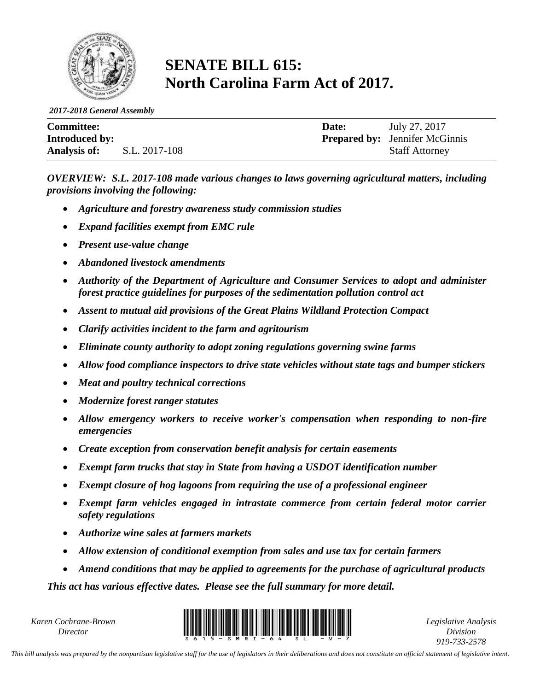

# **SENATE BILL 615: North Carolina Farm Act of 2017.**

*2017-2018 General Assembly*

| <b>Committee:</b>     |               | Date: | July 27, 2017                         |
|-----------------------|---------------|-------|---------------------------------------|
| <b>Introduced by:</b> |               |       | <b>Prepared by:</b> Jennifer McGinnis |
| <b>Analysis of:</b>   | S.L. 2017-108 |       | <b>Staff Attorney</b>                 |

*OVERVIEW: S.L. 2017-108 made various changes to laws governing agricultural matters, including provisions involving the following:*

- *Agriculture and forestry awareness study commission studies*
- *Expand facilities exempt from EMC rule*
- *Present use-value change*
- *Abandoned livestock amendments*
- *Authority of the Department of Agriculture and Consumer Services to adopt and administer forest practice guidelines for purposes of the sedimentation pollution control act*
- *Assent to mutual aid provisions of the Great Plains Wildland Protection Compact*
- *Clarify activities incident to the farm and agritourism*
- *Eliminate county authority to adopt zoning regulations governing swine farms*
- *Allow food compliance inspectors to drive state vehicles without state tags and bumper stickers*
- *Meat and poultry technical corrections*
- *Modernize forest ranger statutes*
- *Allow emergency workers to receive worker's compensation when responding to non-fire emergencies*
- *Create exception from conservation benefit analysis for certain easements*
- *Exempt farm trucks that stay in State from having a USDOT identification number*
- *Exempt closure of hog lagoons from requiring the use of a professional engineer*
- *Exempt farm vehicles engaged in intrastate commerce from certain federal motor carrier safety regulations*
- *Authorize wine sales at farmers markets*
- *Allow extension of conditional exemption from sales and use tax for certain farmers*
- *Amend conditions that may be applied to agreements for the purchase of agricultural products*

*This act has various effective dates. Please see the full summary for more detail.*

*Karen Cochrane-Brown*



*Legislative Analysis Division 919-733-2578*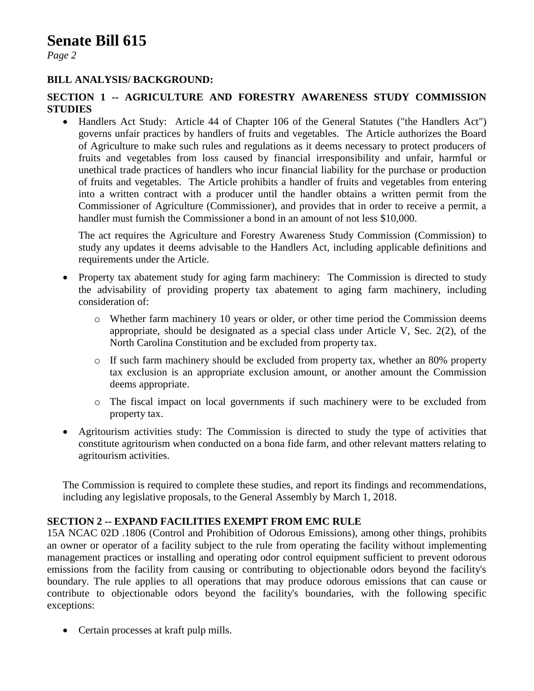*Page 2*

#### **BILL ANALYSIS/ BACKGROUND:**

#### **SECTION 1 -- AGRICULTURE AND FORESTRY AWARENESS STUDY COMMISSION STUDIES**

• Handlers Act Study: Article 44 of Chapter 106 of the General Statutes ("the Handlers Act") governs unfair practices by handlers of fruits and vegetables. The Article authorizes the Board of Agriculture to make such rules and regulations as it deems necessary to protect producers of fruits and vegetables from loss caused by financial irresponsibility and unfair, harmful or unethical trade practices of handlers who incur financial liability for the purchase or production of fruits and vegetables. The Article prohibits a handler of fruits and vegetables from entering into a written contract with a producer until the handler obtains a written permit from the Commissioner of Agriculture (Commissioner), and provides that in order to receive a permit, a handler must furnish the Commissioner a bond in an amount of not less \$10,000.

The act requires the Agriculture and Forestry Awareness Study Commission (Commission) to study any updates it deems advisable to the Handlers Act, including applicable definitions and requirements under the Article.

- Property tax abatement study for aging farm machinery: The Commission is directed to study the advisability of providing property tax abatement to aging farm machinery, including consideration of:
	- o Whether farm machinery 10 years or older, or other time period the Commission deems appropriate, should be designated as a special class under Article V, Sec. 2(2), of the North Carolina Constitution and be excluded from property tax.
	- o If such farm machinery should be excluded from property tax, whether an 80% property tax exclusion is an appropriate exclusion amount, or another amount the Commission deems appropriate.
	- o The fiscal impact on local governments if such machinery were to be excluded from property tax.
- Agritourism activities study: The Commission is directed to study the type of activities that constitute agritourism when conducted on a bona fide farm, and other relevant matters relating to agritourism activities.

The Commission is required to complete these studies, and report its findings and recommendations, including any legislative proposals, to the General Assembly by March 1, 2018.

#### **SECTION 2 -- EXPAND FACILITIES EXEMPT FROM EMC RULE**

15A NCAC 02D .1806 (Control and Prohibition of Odorous Emissions), among other things, prohibits an owner or operator of a facility subject to the rule from operating the facility without implementing management practices or installing and operating odor control equipment sufficient to prevent odorous emissions from the facility from causing or contributing to objectionable odors beyond the facility's boundary. The rule applies to all operations that may produce odorous emissions that can cause or contribute to objectionable odors beyond the facility's boundaries, with the following specific exceptions:

• Certain processes at kraft pulp mills.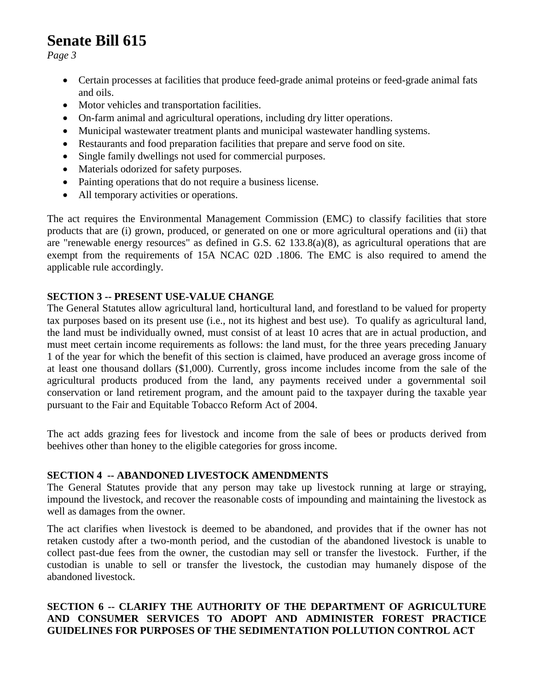*Page 3*

- Certain processes at facilities that produce feed-grade animal proteins or feed-grade animal fats and oils.
- Motor vehicles and transportation facilities.
- On-farm animal and agricultural operations, including dry litter operations.
- Municipal wastewater treatment plants and municipal wastewater handling systems.
- Restaurants and food preparation facilities that prepare and serve food on site.
- Single family dwellings not used for commercial purposes.
- Materials odorized for safety purposes.
- Painting operations that do not require a business license.
- All temporary activities or operations.

The act requires the Environmental Management Commission (EMC) to classify facilities that store products that are (i) grown, produced, or generated on one or more agricultural operations and (ii) that are "renewable energy resources" as defined in G.S. 62 133.8(a)(8), as agricultural operations that are exempt from the requirements of 15A NCAC 02D .1806. The EMC is also required to amend the applicable rule accordingly.

### **SECTION 3 -- PRESENT USE-VALUE CHANGE**

The General Statutes allow agricultural land, horticultural land, and forestland to be valued for property tax purposes based on its present use (i.e., not its highest and best use). To qualify as agricultural land, the land must be individually owned, must consist of at least 10 acres that are in actual production, and must meet certain income requirements as follows: the land must, for the three years preceding January 1 of the year for which the benefit of this section is claimed, have produced an average gross income of at least one thousand dollars (\$1,000). Currently, gross income includes income from the sale of the agricultural products produced from the land, any payments received under a governmental soil conservation or land retirement program, and the amount paid to the taxpayer during the taxable year pursuant to the Fair and Equitable Tobacco Reform Act of 2004.

The act adds grazing fees for livestock and income from the sale of bees or products derived from beehives other than honey to the eligible categories for gross income.

#### **SECTION 4 -- ABANDONED LIVESTOCK AMENDMENTS**

The General Statutes provide that any person may take up livestock running at large or straying, impound the livestock, and recover the reasonable costs of impounding and maintaining the livestock as well as damages from the owner.

The act clarifies when livestock is deemed to be abandoned, and provides that if the owner has not retaken custody after a two-month period, and the custodian of the abandoned livestock is unable to collect past-due fees from the owner, the custodian may sell or transfer the livestock. Further, if the custodian is unable to sell or transfer the livestock, the custodian may humanely dispose of the abandoned livestock.

## **SECTION 6 -- CLARIFY THE AUTHORITY OF THE DEPARTMENT OF AGRICULTURE AND CONSUMER SERVICES TO ADOPT AND ADMINISTER FOREST PRACTICE GUIDELINES FOR PURPOSES OF THE SEDIMENTATION POLLUTION CONTROL ACT**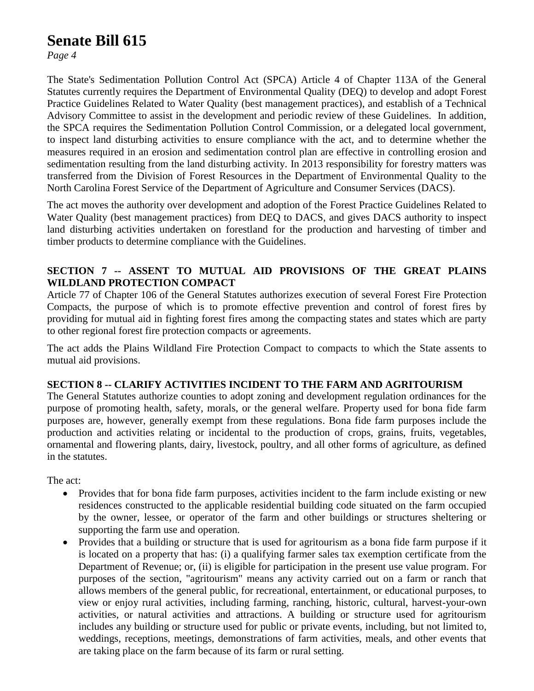*Page 4*

The State's Sedimentation Pollution Control Act (SPCA) Article 4 of Chapter 113A of the General Statutes currently requires the Department of Environmental Quality (DEQ) to develop and adopt Forest Practice Guidelines Related to Water Quality (best management practices), and establish of a Technical Advisory Committee to assist in the development and periodic review of these Guidelines. In addition, the SPCA requires the Sedimentation Pollution Control Commission, or a delegated local government, to inspect land disturbing activities to ensure compliance with the act, and to determine whether the measures required in an erosion and sedimentation control plan are effective in controlling erosion and sedimentation resulting from the land disturbing activity. In 2013 responsibility for forestry matters was transferred from the Division of Forest Resources in the Department of Environmental Quality to the North Carolina Forest Service of the Department of Agriculture and Consumer Services (DACS).

The act moves the authority over development and adoption of the Forest Practice Guidelines Related to Water Quality (best management practices) from DEQ to DACS, and gives DACS authority to inspect land disturbing activities undertaken on forestland for the production and harvesting of timber and timber products to determine compliance with the Guidelines.

### **SECTION 7 -- ASSENT TO MUTUAL AID PROVISIONS OF THE GREAT PLAINS WILDLAND PROTECTION COMPACT**

Article 77 of Chapter 106 of the General Statutes authorizes execution of several Forest Fire Protection Compacts, the purpose of which is to promote effective prevention and control of forest fires by providing for mutual aid in fighting forest fires among the compacting states and states which are party to other regional forest fire protection compacts or agreements.

The act adds the Plains Wildland Fire Protection Compact to compacts to which the State assents to mutual aid provisions.

#### **SECTION 8 -- CLARIFY ACTIVITIES INCIDENT TO THE FARM AND AGRITOURISM**

The General Statutes authorize counties to adopt zoning and development regulation ordinances for the purpose of promoting health, safety, morals, or the general welfare. Property used for bona fide farm purposes are, however, generally exempt from these regulations. Bona fide farm purposes include the production and activities relating or incidental to the production of crops, grains, fruits, vegetables, ornamental and flowering plants, dairy, livestock, poultry, and all other forms of agriculture, as defined in the statutes.

The act:

- Provides that for bona fide farm purposes, activities incident to the farm include existing or new residences constructed to the applicable residential building code situated on the farm occupied by the owner, lessee, or operator of the farm and other buildings or structures sheltering or supporting the farm use and operation.
- Provides that a building or structure that is used for agritourism as a bona fide farm purpose if it is located on a property that has: (i) a qualifying farmer sales tax exemption certificate from the Department of Revenue; or, (ii) is eligible for participation in the present use value program. For purposes of the section, "agritourism" means any activity carried out on a farm or ranch that allows members of the general public, for recreational, entertainment, or educational purposes, to view or enjoy rural activities, including farming, ranching, historic, cultural, harvest-your-own activities, or natural activities and attractions. A building or structure used for agritourism includes any building or structure used for public or private events, including, but not limited to, weddings, receptions, meetings, demonstrations of farm activities, meals, and other events that are taking place on the farm because of its farm or rural setting.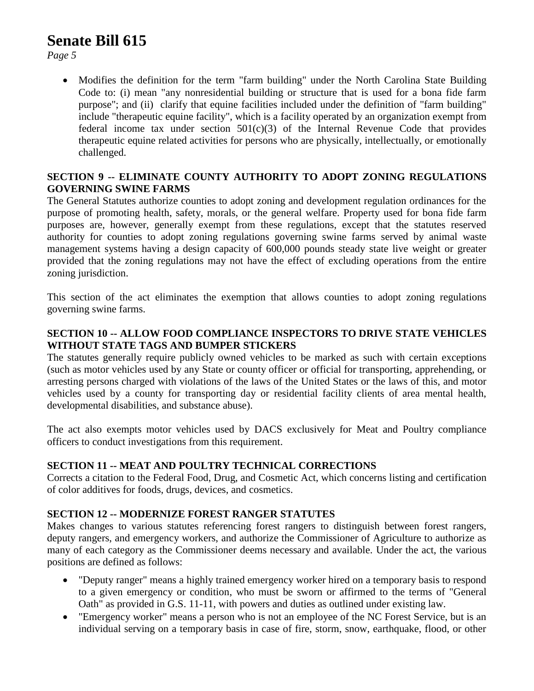*Page 5*

 Modifies the definition for the term "farm building" under the North Carolina State Building Code to: (i) mean "any nonresidential building or structure that is used for a bona fide farm purpose"; and (ii) clarify that equine facilities included under the definition of "farm building" include "therapeutic equine facility", which is a facility operated by an organization exempt from federal income tax under section  $501(c)(3)$  of the Internal Revenue Code that provides therapeutic equine related activities for persons who are physically, intellectually, or emotionally challenged.

#### **SECTION 9 -- ELIMINATE COUNTY AUTHORITY TO ADOPT ZONING REGULATIONS GOVERNING SWINE FARMS**

The General Statutes authorize counties to adopt zoning and development regulation ordinances for the purpose of promoting health, safety, morals, or the general welfare. Property used for bona fide farm purposes are, however, generally exempt from these regulations, except that the statutes reserved authority for counties to adopt zoning regulations governing swine farms served by animal waste management systems having a design capacity of 600,000 pounds steady state live weight or greater provided that the zoning regulations may not have the effect of excluding operations from the entire zoning jurisdiction.

This section of the act eliminates the exemption that allows counties to adopt zoning regulations governing swine farms.

#### **SECTION 10 -- ALLOW FOOD COMPLIANCE INSPECTORS TO DRIVE STATE VEHICLES WITHOUT STATE TAGS AND BUMPER STICKERS**

The statutes generally require publicly owned vehicles to be marked as such with certain exceptions (such as motor vehicles used by any State or county officer or official for transporting, apprehending, or arresting persons charged with violations of the laws of the United States or the laws of this, and motor vehicles used by a county for transporting day or residential facility clients of area mental health, developmental disabilities, and substance abuse).

The act also exempts motor vehicles used by DACS exclusively for Meat and Poultry compliance officers to conduct investigations from this requirement.

#### **SECTION 11 -- MEAT AND POULTRY TECHNICAL CORRECTIONS**

Corrects a citation to the Federal Food, Drug, and Cosmetic Act, which concerns listing and certification of color additives for foods, drugs, devices, and cosmetics.

## **SECTION 12 -- MODERNIZE FOREST RANGER STATUTES**

Makes changes to various statutes referencing forest rangers to distinguish between forest rangers, deputy rangers, and emergency workers, and authorize the Commissioner of Agriculture to authorize as many of each category as the Commissioner deems necessary and available. Under the act, the various positions are defined as follows:

- "Deputy ranger" means a highly trained emergency worker hired on a temporary basis to respond to a given emergency or condition, who must be sworn or affirmed to the terms of "General Oath" as provided in G.S. 11-11, with powers and duties as outlined under existing law.
- "Emergency worker" means a person who is not an employee of the NC Forest Service, but is an individual serving on a temporary basis in case of fire, storm, snow, earthquake, flood, or other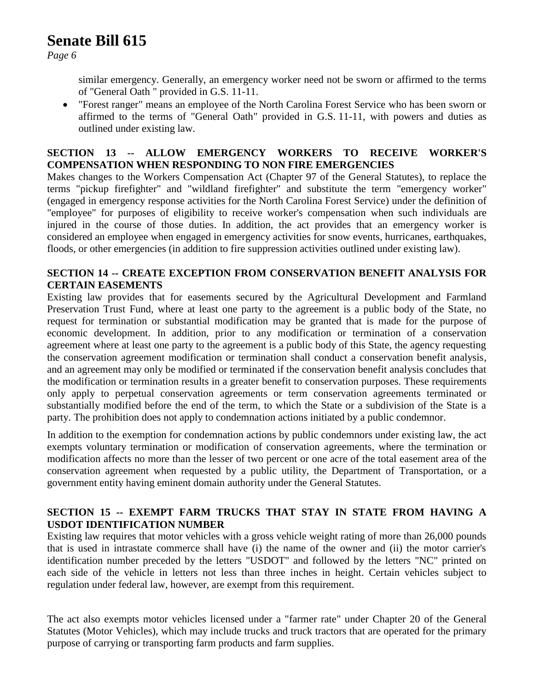*Page 6*

similar emergency. Generally, an emergency worker need not be sworn or affirmed to the terms of "General Oath " provided in G.S. 11-11.

 "Forest ranger" means an employee of the North Carolina Forest Service who has been sworn or affirmed to the terms of "General Oath" provided in G.S. 11-11, with powers and duties as outlined under existing law.

### **SECTION 13 -- ALLOW EMERGENCY WORKERS TO RECEIVE WORKER'S COMPENSATION WHEN RESPONDING TO NON FIRE EMERGENCIES**

Makes changes to the Workers Compensation Act (Chapter 97 of the General Statutes), to replace the terms "pickup firefighter" and "wildland firefighter" and substitute the term "emergency worker" (engaged in emergency response activities for the North Carolina Forest Service) under the definition of "employee" for purposes of eligibility to receive worker's compensation when such individuals are injured in the course of those duties. In addition, the act provides that an emergency worker is considered an employee when engaged in emergency activities for snow events, hurricanes, earthquakes, floods, or other emergencies (in addition to fire suppression activities outlined under existing law).

### **SECTION 14 -- CREATE EXCEPTION FROM CONSERVATION BENEFIT ANALYSIS FOR CERTAIN EASEMENTS**

Existing law provides that for easements secured by the Agricultural Development and Farmland Preservation Trust Fund, where at least one party to the agreement is a public body of the State, no request for termination or substantial modification may be granted that is made for the purpose of economic development. In addition, prior to any modification or termination of a conservation agreement where at least one party to the agreement is a public body of this State, the agency requesting the conservation agreement modification or termination shall conduct a conservation benefit analysis, and an agreement may only be modified or terminated if the conservation benefit analysis concludes that the modification or termination results in a greater benefit to conservation purposes. These requirements only apply to perpetual conservation agreements or term conservation agreements terminated or substantially modified before the end of the term, to which the State or a subdivision of the State is a party. The prohibition does not apply to condemnation actions initiated by a public condemnor.

In addition to the exemption for condemnation actions by public condemnors under existing law, the act exempts voluntary termination or modification of conservation agreements, where the termination or modification affects no more than the lesser of two percent or one acre of the total easement area of the conservation agreement when requested by a public utility, the Department of Transportation, or a government entity having eminent domain authority under the General Statutes.

## **SECTION 15 -- EXEMPT FARM TRUCKS THAT STAY IN STATE FROM HAVING A USDOT IDENTIFICATION NUMBER**

Existing law requires that motor vehicles with a gross vehicle weight rating of more than 26,000 pounds that is used in intrastate commerce shall have (i) the name of the owner and (ii) the motor carrier's identification number preceded by the letters "USDOT" and followed by the letters "NC" printed on each side of the vehicle in letters not less than three inches in height. Certain vehicles subject to regulation under federal law, however, are exempt from this requirement.

The act also exempts motor vehicles licensed under a "farmer rate" under Chapter 20 of the General Statutes (Motor Vehicles), which may include trucks and truck tractors that are operated for the primary purpose of carrying or transporting farm products and farm supplies.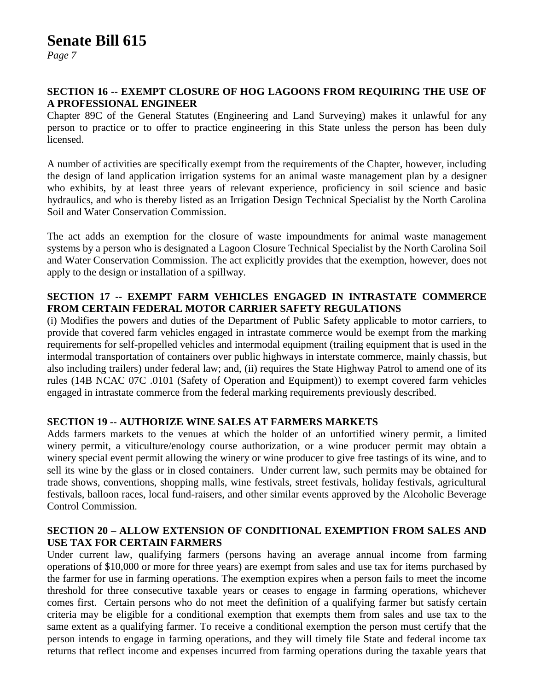*Page 7*

#### **SECTION 16 -- EXEMPT CLOSURE OF HOG LAGOONS FROM REQUIRING THE USE OF A PROFESSIONAL ENGINEER**

Chapter 89C of the General Statutes (Engineering and Land Surveying) makes it unlawful for any person to practice or to offer to practice engineering in this State unless the person has been duly licensed.

A number of activities are specifically exempt from the requirements of the Chapter, however, including the design of land application irrigation systems for an animal waste management plan by a designer who exhibits, by at least three years of relevant experience, proficiency in soil science and basic hydraulics, and who is thereby listed as an Irrigation Design Technical Specialist by the North Carolina Soil and Water Conservation Commission.

The act adds an exemption for the closure of waste impoundments for animal waste management systems by a person who is designated a Lagoon Closure Technical Specialist by the North Carolina Soil and Water Conservation Commission. The act explicitly provides that the exemption, however, does not apply to the design or installation of a spillway.

### **SECTION 17 -- EXEMPT FARM VEHICLES ENGAGED IN INTRASTATE COMMERCE FROM CERTAIN FEDERAL MOTOR CARRIER SAFETY REGULATIONS**

(i) Modifies the powers and duties of the Department of Public Safety applicable to motor carriers, to provide that covered farm vehicles engaged in intrastate commerce would be exempt from the marking requirements for self-propelled vehicles and intermodal equipment (trailing equipment that is used in the intermodal transportation of containers over public highways in interstate commerce, mainly chassis, but also including trailers) under federal law; and, (ii) requires the State Highway Patrol to amend one of its rules (14B NCAC 07C .0101 (Safety of Operation and Equipment)) to exempt covered farm vehicles engaged in intrastate commerce from the federal marking requirements previously described.

#### **SECTION 19 -- AUTHORIZE WINE SALES AT FARMERS MARKETS**

Adds farmers markets to the venues at which the holder of an unfortified winery permit, a limited winery permit, a viticulture/enology course authorization, or a wine producer permit may obtain a winery special event permit allowing the winery or wine producer to give free tastings of its wine, and to sell its wine by the glass or in closed containers. Under current law, such permits may be obtained for trade shows, conventions, shopping malls, wine festivals, street festivals, holiday festivals, agricultural festivals, balloon races, local fund-raisers, and other similar events approved by the Alcoholic Beverage Control Commission.

#### **SECTION 20 – ALLOW EXTENSION OF CONDITIONAL EXEMPTION FROM SALES AND USE TAX FOR CERTAIN FARMERS**

Under current law, qualifying farmers (persons having an average annual income from farming operations of \$10,000 or more for three years) are exempt from sales and use tax for items purchased by the farmer for use in farming operations. The exemption expires when a person fails to meet the income threshold for three consecutive taxable years or ceases to engage in farming operations, whichever comes first. Certain persons who do not meet the definition of a qualifying farmer but satisfy certain criteria may be eligible for a conditional exemption that exempts them from sales and use tax to the same extent as a qualifying farmer. To receive a conditional exemption the person must certify that the person intends to engage in farming operations, and they will timely file State and federal income tax returns that reflect income and expenses incurred from farming operations during the taxable years that